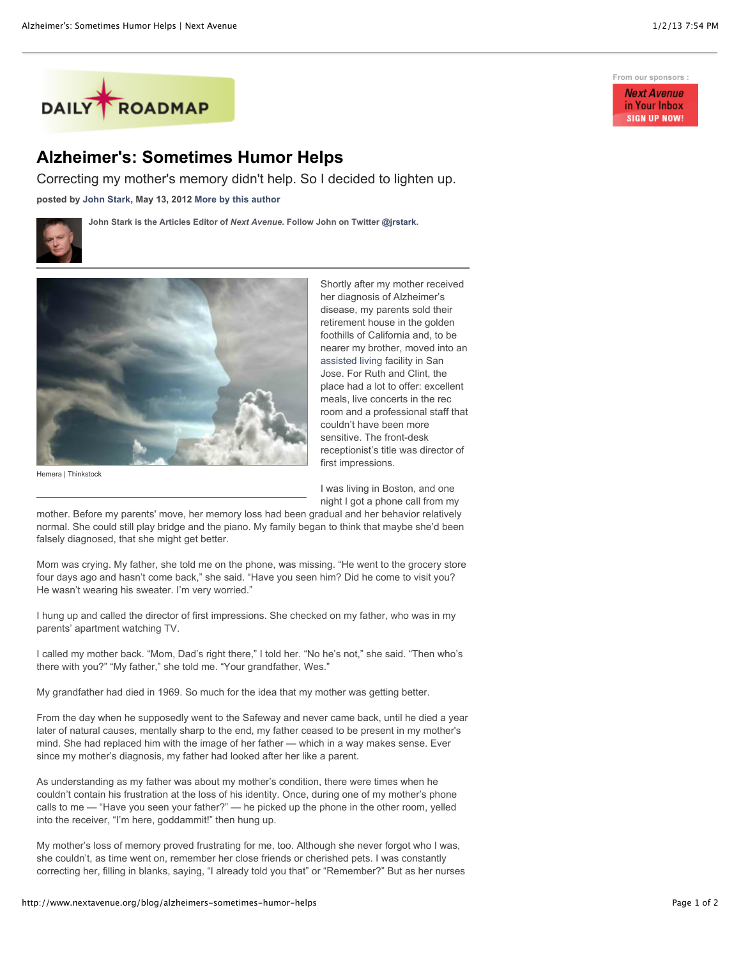

## **Alzheimer's: Sometimes Humor Helps**

Correcting my mother's memory didn't help. So I decided to lighten up.

**posted by [John Stark,](http://www.nextavenue.org/staff/john-stark) May 13, 2012 [More by this author](http://www.nextavenue.org/staff/john-stark)**

**John Stark is the Articles Editor of** *Next Avenue***. Follow John on Twitter [@jrstark.](http://twitter.com/jrstark)**





Shortly after my mother received her diagnosis of Alzheimer's disease, my parents sold their retirement house in the golden foothills of California and, to be nearer my brother, moved into an [assisted living](http://www.longtermcarelink.net/eldercare/assisted_living.htm) facility in San Jose. For Ruth and Clint, the place had a lot to offer: excellent meals, live concerts in the rec room and a professional staff that couldn't have been more sensitive. The front-desk receptionist's title was director of first impressions.

Hemera | Thinkstock

I was living in Boston, and one night I got a phone call from my

mother. Before my parents' move, her memory loss had been gradual and her behavior relatively normal. She could still play bridge and the piano. My family began to think that maybe she'd been falsely diagnosed, that she might get better.

Mom was crying. My father, she told me on the phone, was missing. "He went to the grocery store four days ago and hasn't come back," she said. "Have you seen him? Did he come to visit you? He wasn't wearing his sweater. I'm very worried."

I hung up and called the director of first impressions. She checked on my father, who was in my parents' apartment watching TV.

I called my mother back. "Mom, Dad's right there," I told her. "No he's not," she said. "Then who's there with you?" "My father," she told me. "Your grandfather, Wes."

My grandfather had died in 1969. So much for the idea that my mother was getting better.

From the day when he supposedly went to the Safeway and never came back, until he died a year later of natural causes, mentally sharp to the end, my father ceased to be present in my mother's mind. She had replaced him with the image of her father — which in a way makes sense. Ever since my mother's diagnosis, my father had looked after her like a parent.

As understanding as my father was about my mother's condition, there were times when he couldn't contain his frustration at the loss of his identity. Once, during one of my mother's phone calls to me — "Have you seen your father?" — he picked up the phone in the other room, yelled into the receiver, "I'm here, goddammit!" then hung up.

My mother's loss of memory proved frustrating for me, too. Although she never forgot who I was, she couldn't, as time went on, remember her close friends or cherished pets. I was constantly correcting her, filling in blanks, saying, "I already told you that" or "Remember?" But as her nurses